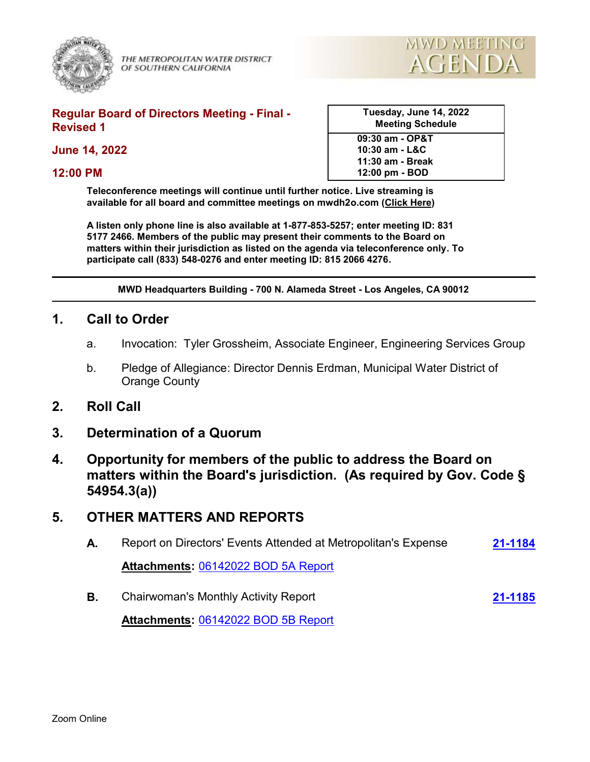

THE METROPOLITAN WATER DISTRICT OF SOUTHERN CALIFORNIA



#### **Regular Board of Directors Meeting - Final - Revised 1**

**June 14, 2022**

#### **12:00 PM**

| Tuesday, June 14, 2022<br><b>Meeting Schedule</b> |  |
|---------------------------------------------------|--|
| 09:30 am - OP&T                                   |  |

**10:30 am - L&C 11:30 am - Break 12:00 pm - BOD**

**Teleconference meetings will continue until further notice. Live streaming is available for all board and committee meetings on mwdh2o.com [\(Click Here](https://mwdh2o.legistar.com/Calendar.aspx))** 

**A listen only phone line is also available at 1-877-853-5257; enter meeting ID: 831 5177 2466. Members of the public may present their comments to the Board on matters within their jurisdiction as listed on the agenda via teleconference only. To participate call (833) 548-0276 and enter meeting ID: 815 2066 4276.**

**MWD Headquarters Building - 700 N. Alameda Street - Los Angeles, CA 90012**

### **1. Call to Order**

- a. Invocation: Tyler Grossheim, Associate Engineer, Engineering Services Group
- b. Pledge of Allegiance: Director Dennis Erdman, Municipal Water District of Orange County
- **2. Roll Call**
- **3. Determination of a Quorum**
- **4. Opportunity for members of the public to address the Board on matters within the Board's jurisdiction. (As required by Gov. Code § 54954.3(a))**

# **5. OTHER MATTERS AND REPORTS**

- **A.** Report on Directors' Events Attended at Metropolitan's Expense **[21-1184](http://mwdh2o.legistar.com/gateway.aspx?m=l&id=/matter.aspx?key=2276) Attachments:** [06142022 BOD 5A Report](http://mwdh2o.legistar.com/gateway.aspx?M=F&ID=5bc83c67-8d83-48f5-87c5-0f2c754c8579.pdf)
- **B.** Chairwoman's Monthly Activity Report **[21-1185](http://mwdh2o.legistar.com/gateway.aspx?m=l&id=/matter.aspx?key=2277)**

**Attachments:** [06142022 BOD 5B Report](http://mwdh2o.legistar.com/gateway.aspx?M=F&ID=495ff9f8-e9be-4f73-86db-d16d8eb263c3.pdf)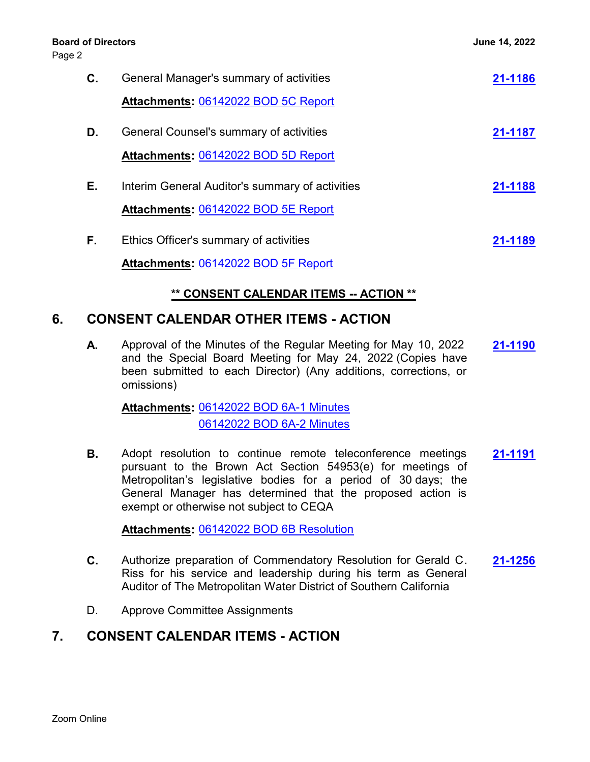#### **Board of Directors June 14, 2022**

Page 2

| С. | General Manager's summary of activities         | 21-1186 |
|----|-------------------------------------------------|---------|
|    | Attachments: 06142022 BOD 5C Report             |         |
| D. | General Counsel's summary of activities         | 21-1187 |
|    | Attachments: 06142022 BOD 5D Report             |         |
| Е. | Interim General Auditor's summary of activities | 21-1188 |
|    | Attachments: 06142022 BOD 5E Report             |         |
| F. | Ethics Officer's summary of activities          | 21-1189 |
|    | Attachments: 06142022 BOD 5F Report             |         |

### **\*\* CONSENT CALENDAR ITEMS -- ACTION \*\***

# **6. CONSENT CALENDAR OTHER ITEMS - ACTION**

**A.** Approval of the Minutes of the Regular Meeting for May 10, 2022 **[21-1190](http://mwdh2o.legistar.com/gateway.aspx?m=l&id=/matter.aspx?key=2282)** and the Special Board Meeting for May 24, 2022 (Copies have been submitted to each Director) (Any additions, corrections, or omissions)

[06142022 BOD 6A-1 Minutes](http://mwdh2o.legistar.com/gateway.aspx?M=F&ID=4546270d-8c97-4cfb-8fd9-2769dd4ab5a2.pdf) **Attachments:** [06142022 BOD 6A-2 Minutes](http://mwdh2o.legistar.com/gateway.aspx?M=F&ID=f72ead5f-5483-4976-ba96-9e611919f24e.pdf)

**B.** Adopt resolution to continue remote teleconference meetings **[21-1191](http://mwdh2o.legistar.com/gateway.aspx?m=l&id=/matter.aspx?key=2283)** pursuant to the Brown Act Section 54953(e) for meetings of Metropolitan's legislative bodies for a period of 30 days; the General Manager has determined that the proposed action is exempt or otherwise not subject to CEQA

**Attachments:** [06142022 BOD 6B Resolution](http://mwdh2o.legistar.com/gateway.aspx?M=F&ID=a61c6b83-56ea-40b3-a871-d0f689a8a1d0.pdf)

- **C.** Authorize preparation of Commendatory Resolution for Gerald C. **[21-1256](http://mwdh2o.legistar.com/gateway.aspx?m=l&id=/matter.aspx?key=2348)** Riss for his service and leadership during his term as General Auditor of The Metropolitan Water District of Southern California
- D. Approve Committee Assignments

# **7. CONSENT CALENDAR ITEMS - ACTION**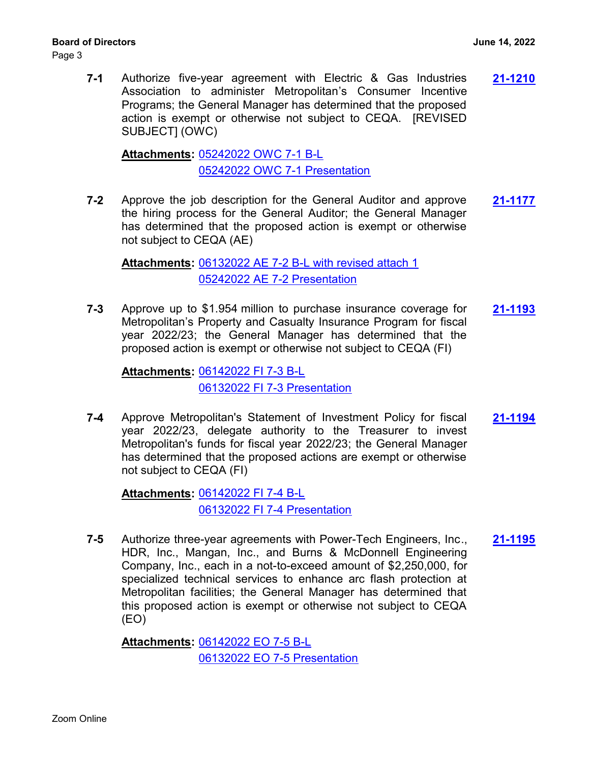Page 3

**7-1** Authorize five-year agreement with Electric & Gas Industries **[21-1210](http://mwdh2o.legistar.com/gateway.aspx?m=l&id=/matter.aspx?key=2302)** Association to administer Metropolitan's Consumer Incentive Programs; the General Manager has determined that the proposed action is exempt or otherwise not subject to CEQA. [REVISED SUBJECT] (OWC)

[05242022 OWC 7-1 B-L](http://mwdh2o.legistar.com/gateway.aspx?M=F&ID=3b64dd04-ed87-4685-8a42-5bd702b32441.pdf) **Attachments:** [05242022 OWC 7-1 Presentation](http://mwdh2o.legistar.com/gateway.aspx?M=F&ID=b350b8a5-0fc1-49ac-8044-976c46c5cc57.pdf)

**7-2** Approve the job description for the General Auditor and approve **[21-1177](http://mwdh2o.legistar.com/gateway.aspx?m=l&id=/matter.aspx?key=2269)** the hiring process for the General Auditor; the General Manager has determined that the proposed action is exempt or otherwise not subject to CEQA (AE)

[06132022 AE 7-2 B-L with revised attach 1](http://mwdh2o.legistar.com/gateway.aspx?M=F&ID=01bc7cb1-5061-4c85-a30a-37db437be948.pdf) **Attachments:** [05242022 AE 7-2 Presentation](http://mwdh2o.legistar.com/gateway.aspx?M=F&ID=6341c4d5-17f9-42c0-979a-62278b54a3c6.pdf)

**7-3** Approve up to \$1.954 million to purchase insurance coverage for **[21-1193](http://mwdh2o.legistar.com/gateway.aspx?m=l&id=/matter.aspx?key=2285)** Metropolitan's Property and Casualty Insurance Program for fiscal year 2022/23; the General Manager has determined that the proposed action is exempt or otherwise not subject to CEQA (FI)

[06142022 FI 7-3 B-L](http://mwdh2o.legistar.com/gateway.aspx?M=F&ID=c44a301d-f984-47ab-8699-faa3e60b170e.pdf) **Attachments:** [06132022 FI 7-3 Presentation](http://mwdh2o.legistar.com/gateway.aspx?M=F&ID=7feae29f-5fa7-4f2e-831a-a81e5002d828.pdf)

**7-4** Approve Metropolitan's Statement of Investment Policy for fiscal **[21-1194](http://mwdh2o.legistar.com/gateway.aspx?m=l&id=/matter.aspx?key=2286)** year 2022/23, delegate authority to the Treasurer to invest Metropolitan's funds for fiscal year 2022/23; the General Manager has determined that the proposed actions are exempt or otherwise not subject to CEQA (FI)

[06142022 FI 7-4 B-L](http://mwdh2o.legistar.com/gateway.aspx?M=F&ID=3c8cf442-b5af-43f8-b5a3-2fb36df01667.pdf) **Attachments:** [06132022 FI 7-4 Presentation](http://mwdh2o.legistar.com/gateway.aspx?M=F&ID=fff5b836-e9ac-4e7f-b36b-aa9bf0183c1c.pdf)

**7-5** Authorize three-year agreements with Power-Tech Engineers, Inc., **[21-1195](http://mwdh2o.legistar.com/gateway.aspx?m=l&id=/matter.aspx?key=2287)** HDR, Inc., Mangan, Inc., and Burns & McDonnell Engineering Company, Inc., each in a not-to-exceed amount of \$2,250,000, for specialized technical services to enhance arc flash protection at Metropolitan facilities; the General Manager has determined that this proposed action is exempt or otherwise not subject to CEQA (EO)

[06142022 EO 7-5 B-L](http://mwdh2o.legistar.com/gateway.aspx?M=F&ID=42f448df-43bd-4891-93f1-ecce1a3e7185.pdf) **Attachments:** [06132022 EO 7-5 Presentation](http://mwdh2o.legistar.com/gateway.aspx?M=F&ID=e3a10c91-0b3a-4b68-a20b-f90e402ce4af.pdf)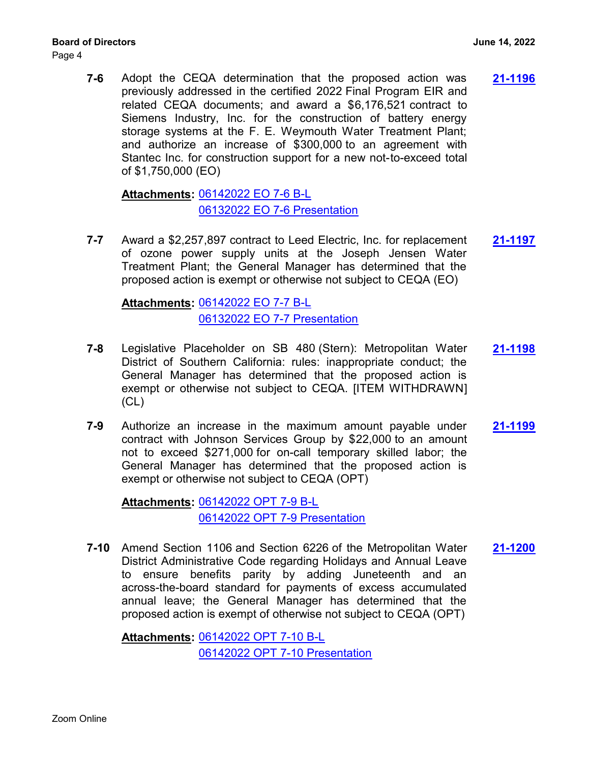Page 4

**7-6** Adopt the CEQA determination that the proposed action was **[21-1196](http://mwdh2o.legistar.com/gateway.aspx?m=l&id=/matter.aspx?key=2288)** previously addressed in the certified 2022 Final Program EIR and related CEQA documents; and award a \$6,176,521 contract to Siemens Industry, Inc. for the construction of battery energy storage systems at the F. E. Weymouth Water Treatment Plant; and authorize an increase of \$300,000 to an agreement with Stantec Inc. for construction support for a new not-to-exceed total of \$1,750,000 (EO)

[06142022 EO 7-6 B-L](http://mwdh2o.legistar.com/gateway.aspx?M=F&ID=e07fe239-d859-4ce4-ada4-72f09bb37b37.pdf) **Attachments:** [06132022 EO 7-6 Presentation](http://mwdh2o.legistar.com/gateway.aspx?M=F&ID=0ae6e050-1758-4984-814f-832650d77267.pdf)

**7-7** Award a \$2,257,897 contract to Leed Electric, Inc. for replacement **[21-1197](http://mwdh2o.legistar.com/gateway.aspx?m=l&id=/matter.aspx?key=2289)** of ozone power supply units at the Joseph Jensen Water Treatment Plant; the General Manager has determined that the proposed action is exempt or otherwise not subject to CEQA (EO)

[06142022 EO 7-7 B-L](http://mwdh2o.legistar.com/gateway.aspx?M=F&ID=8755da10-44d1-449d-b730-00be847110c4.pdf) **Attachments:** [06132022 EO 7-7 Presentation](http://mwdh2o.legistar.com/gateway.aspx?M=F&ID=d999a389-2396-479e-98e8-b80c025940d5.pdf)

- **7-8** Legislative Placeholder on SB 480 (Stern): Metropolitan Water **[21-1198](http://mwdh2o.legistar.com/gateway.aspx?m=l&id=/matter.aspx?key=2290)** District of Southern California: rules: inappropriate conduct; the General Manager has determined that the proposed action is exempt or otherwise not subject to CEQA. [ITEM WITHDRAWN] (CL)
- **7-9** Authorize an increase in the maximum amount payable under **[21-1199](http://mwdh2o.legistar.com/gateway.aspx?m=l&id=/matter.aspx?key=2291)** contract with Johnson Services Group by \$22,000 to an amount not to exceed \$271,000 for on-call temporary skilled labor; the General Manager has determined that the proposed action is exempt or otherwise not subject to CEQA (OPT)

[06142022 OPT 7-9 B-L](http://mwdh2o.legistar.com/gateway.aspx?M=F&ID=759f80ef-fe1b-4d62-ac8c-38549c7b86f7.pdf) **Attachments:** [06142022 OPT 7-9 Presentation](http://mwdh2o.legistar.com/gateway.aspx?M=F&ID=6f6f6536-48a6-48f7-81ba-0f0dd36887bc.pdf)

**7-10** Amend Section 1106 and Section 6226 of the Metropolitan Water **[21-1200](http://mwdh2o.legistar.com/gateway.aspx?m=l&id=/matter.aspx?key=2292)** District Administrative Code regarding Holidays and Annual Leave to ensure benefits parity by adding Juneteenth and an across-the-board standard for payments of excess accumulated annual leave; the General Manager has determined that the proposed action is exempt of otherwise not subject to CEQA (OPT)

[06142022 OPT 7-10 B-L](http://mwdh2o.legistar.com/gateway.aspx?M=F&ID=94dbc01f-cfe8-4f42-9941-20b5557e5b6b.pdf) **Attachments:** [06142022 OPT 7-10 Presentation](http://mwdh2o.legistar.com/gateway.aspx?M=F&ID=818ee9c5-bca7-4fc5-803a-aca169980d77.pdf)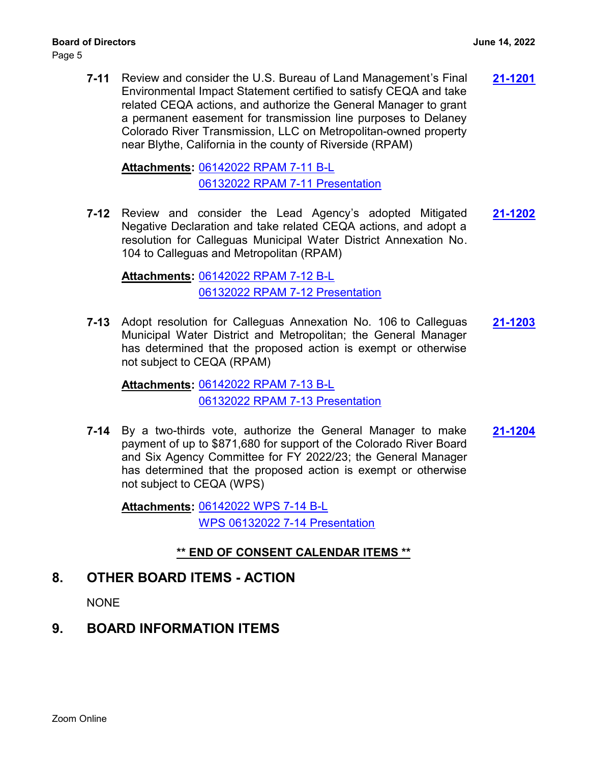**7-11** Review and consider the U.S. Bureau of Land Management's Final **[21-1201](http://mwdh2o.legistar.com/gateway.aspx?m=l&id=/matter.aspx?key=2293)** Environmental Impact Statement certified to satisfy CEQA and take related CEQA actions, and authorize the General Manager to grant a permanent easement for transmission line purposes to Delaney Colorado River Transmission, LLC on Metropolitan-owned property near Blythe, California in the county of Riverside (RPAM)

[06142022 RPAM 7-11 B-L](http://mwdh2o.legistar.com/gateway.aspx?M=F&ID=ec8ba98d-a385-4e24-a0c5-75d336cc01a8.pdf) **Attachments:** [06132022 RPAM 7-11 Presentation](http://mwdh2o.legistar.com/gateway.aspx?M=F&ID=6532325b-0bbd-46a1-9db6-d0017075c132.pdf)

**7-12** Review and consider the Lead Agency's adopted Mitigated **[21-1202](http://mwdh2o.legistar.com/gateway.aspx?m=l&id=/matter.aspx?key=2294)** Negative Declaration and take related CEQA actions, and adopt a resolution for Calleguas Municipal Water District Annexation No. 104 to Calleguas and Metropolitan (RPAM)

[06142022 RPAM 7-12 B-L](http://mwdh2o.legistar.com/gateway.aspx?M=F&ID=39cdd997-b6e7-4744-a58c-9dd3083f0b40.pdf) **Attachments:** [06132022 RPAM 7-12 Presentation](http://mwdh2o.legistar.com/gateway.aspx?M=F&ID=30ff5635-b644-4af8-ad5e-84be167f25c7.pdf)

**7-13** Adopt resolution for Calleguas Annexation No. 106 to Calleguas **[21-1203](http://mwdh2o.legistar.com/gateway.aspx?m=l&id=/matter.aspx?key=2295)** Municipal Water District and Metropolitan; the General Manager has determined that the proposed action is exempt or otherwise not subject to CEQA (RPAM)

[06142022 RPAM 7-13 B-L](http://mwdh2o.legistar.com/gateway.aspx?M=F&ID=c7a844ff-afc5-42b6-b89f-35b85c75248a.pdf) **Attachments:** [06132022 RPAM 7-13 Presentation](http://mwdh2o.legistar.com/gateway.aspx?M=F&ID=24343cf7-0fc8-4703-ac4d-4229537b776f.pdf)

**7-14** By a two-thirds vote, authorize the General Manager to make **[21-1204](http://mwdh2o.legistar.com/gateway.aspx?m=l&id=/matter.aspx?key=2296)** payment of up to \$871,680 for support of the Colorado River Board and Six Agency Committee for FY 2022/23; the General Manager has determined that the proposed action is exempt or otherwise not subject to CEQA (WPS)

[06142022 WPS 7-14 B-L](http://mwdh2o.legistar.com/gateway.aspx?M=F&ID=33521891-1d6a-4412-b335-d48ff66c070d.pdf) **Attachments:** [WPS 06132022 7-14 Presentation](http://mwdh2o.legistar.com/gateway.aspx?M=F&ID=c6650e97-402a-49ac-89c8-335c4feef6e5.pdf)

### **\*\* END OF CONSENT CALENDAR ITEMS \*\***

# **8. OTHER BOARD ITEMS - ACTION**

**NONE** 

# **9. BOARD INFORMATION ITEMS**